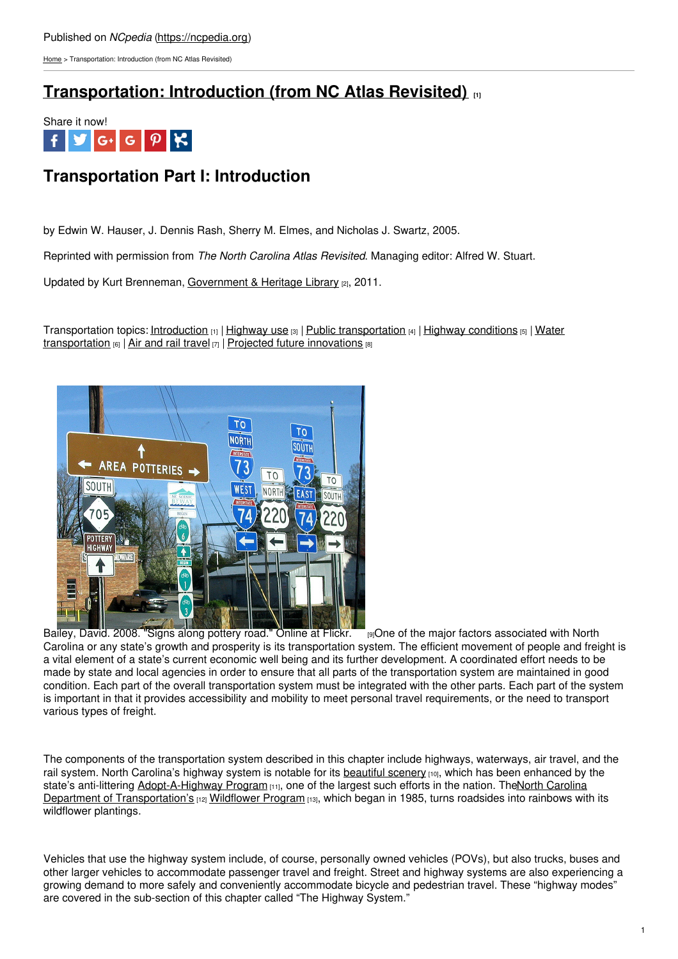[Home](https://ncpedia.org/) > Transportation: Introduction (from NC Atlas Revisited)

## **[Transportation:](https://ncpedia.org/transportation-introduction-nc) Introduction (from NC Atlas Revisited) [1]**



# **Transportation Part I: Introduction**

by Edwin W. Hauser, J. Dennis Rash, Sherry M. Elmes, and Nicholas J. Swartz, 2005.

Reprinted with permission from *The North Carolina Atlas Revisited*. Managing editor: Alfred W. Stuart.

Updated by Kurt Brenneman, [Government](https://statelibrary.ncdcr.gov/) & Heritage Library [2], 2011.

[Transportation](https://ncpedia.org/transportation-water-nc-atlas) topics: [Introduction](https://ncpedia.org/transportation-introduction-nc)  $_{[1]}$  | [Highway](https://ncpedia.org/transportation-trends-highway-use) use  $_{[3]}$  | Public [transportation](https://ncpedia.org/transportation/public-transportation)  $_{[4]}$  | Highway [conditions](https://ncpedia.org/transportation-highway-system)  $_{[5]}$  | Water transportation  $[6]$  | Air and rail [travel](https://ncpedia.org/transportation-air-and-rail-nc)  $[7]$  | Projected future [innovations](https://ncpedia.org/transportation/future)  $[8]$ 



Bailey, David. 2008. "Signs along [pottery](https://www.flickr.com/photos/davebailey/3038363547/) road." Online at Flickr. [9]One of the major factors associated with North Carolina or any state's growth and prosperity is its transportation system. The efficient movement of people and freight is a vital element of a state's current economic well being and its further development. A coordinated effort needs to be made by state and local agencies in order to ensure that all parts of the transportation system are maintained in good condition. Each part of the overall transportation system must be integrated with the other parts. Each part of the system is important in that it provides accessibility and mobility to meet personal travel requirements, or the need to transport various types of freight.

The components of the transportation system described in this chapter include highways, waterways, air travel, and the rail system. North Carolina's highway system is notable for its [beautiful](http://www.ncdot.gov/travel/scenic/) scenery [10], which has been enhanced by the state's anti-littering [Adopt-A-Highway](http://www.ncdot.gov/) Program [11], one of the largest such efforts in the nation. TheNorth Carolina Department of Transportation's [12] [Wildflower](http://www.ncdot.org/doh/operations/dp_chief_eng/roadside/wildflowerbook/) Program [13], which began in 1985, turns roadsides into rainbows with its wildflower plantings.

Vehicles that use the highway system include, of course, personally owned vehicles (POVs), but also trucks, buses and other larger vehicles to accommodate passenger travel and freight. Street and highway systems are also experiencing a growing demand to more safely and conveniently accommodate bicycle and pedestrian travel. These "highway modes" are covered in the sub-section of this chapter called "The Highway System."